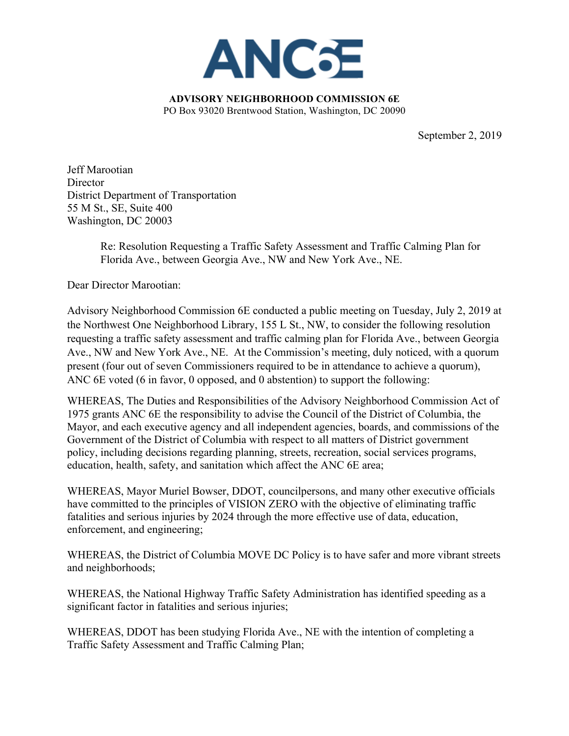

**ADVISORY NEIGHBORHOOD COMMISSION 6E** PO Box 93020 Brentwood Station, Washington, DC 20090

September 2, 2019

Jeff Marootian **Director** District Department of Transportation 55 M St., SE, Suite 400 Washington, DC 20003

> Re: Resolution Requesting a Traffic Safety Assessment and Traffic Calming Plan for Florida Ave., between Georgia Ave., NW and New York Ave., NE.

Dear Director Marootian:

Advisory Neighborhood Commission 6E conducted a public meeting on Tuesday, July 2, 2019 at the Northwest One Neighborhood Library, 155 L St., NW, to consider the following resolution requesting a traffic safety assessment and traffic calming plan for Florida Ave., between Georgia Ave., NW and New York Ave., NE. At the Commission's meeting, duly noticed, with a quorum present (four out of seven Commissioners required to be in attendance to achieve a quorum), ANC 6E voted (6 in favor, 0 opposed, and 0 abstention) to support the following:

WHEREAS, The Duties and Responsibilities of the Advisory Neighborhood Commission Act of 1975 grants ANC 6E the responsibility to advise the Council of the District of Columbia, the Mayor, and each executive agency and all independent agencies, boards, and commissions of the Government of the District of Columbia with respect to all matters of District government policy, including decisions regarding planning, streets, recreation, social services programs, education, health, safety, and sanitation which affect the ANC 6E area;

WHEREAS, Mayor Muriel Bowser, DDOT, councilpersons, and many other executive officials have committed to the principles of VISION ZERO with the objective of eliminating traffic fatalities and serious injuries by 2024 through the more effective use of data, education, enforcement, and engineering;

WHEREAS, the District of Columbia MOVE DC Policy is to have safer and more vibrant streets and neighborhoods;

WHEREAS, the National Highway Traffic Safety Administration has identified speeding as a significant factor in fatalities and serious injuries;

WHEREAS, DDOT has been studying Florida Ave., NE with the intention of completing a Traffic Safety Assessment and Traffic Calming Plan;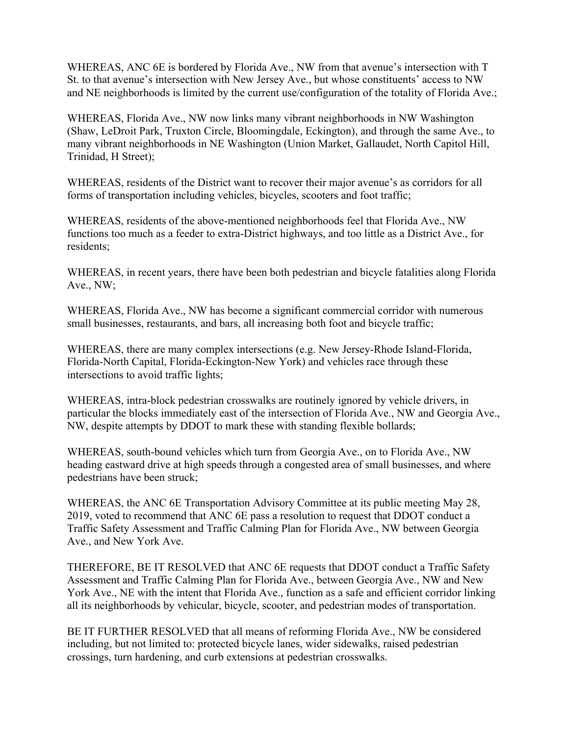WHEREAS, ANC 6E is bordered by Florida Ave., NW from that avenue's intersection with T St. to that avenue's intersection with New Jersey Ave., but whose constituents' access to NW and NE neighborhoods is limited by the current use/configuration of the totality of Florida Ave.;

WHEREAS, Florida Ave., NW now links many vibrant neighborhoods in NW Washington (Shaw, LeDroit Park, Truxton Circle, Bloomingdale, Eckington), and through the same Ave., to many vibrant neighborhoods in NE Washington (Union Market, Gallaudet, North Capitol Hill, Trinidad, H Street);

WHEREAS, residents of the District want to recover their major avenue's as corridors for all forms of transportation including vehicles, bicycles, scooters and foot traffic;

WHEREAS, residents of the above-mentioned neighborhoods feel that Florida Ave., NW functions too much as a feeder to extra-District highways, and too little as a District Ave., for residents;

WHEREAS, in recent years, there have been both pedestrian and bicycle fatalities along Florida Ave., NW;

WHEREAS, Florida Ave., NW has become a significant commercial corridor with numerous small businesses, restaurants, and bars, all increasing both foot and bicycle traffic;

WHEREAS, there are many complex intersections (e.g. New Jersey-Rhode Island-Florida, Florida-North Capital, Florida-Eckington-New York) and vehicles race through these intersections to avoid traffic lights;

WHEREAS, intra-block pedestrian crosswalks are routinely ignored by vehicle drivers, in particular the blocks immediately east of the intersection of Florida Ave., NW and Georgia Ave., NW, despite attempts by DDOT to mark these with standing flexible bollards;

WHEREAS, south-bound vehicles which turn from Georgia Ave., on to Florida Ave., NW heading eastward drive at high speeds through a congested area of small businesses, and where pedestrians have been struck;

WHEREAS, the ANC 6E Transportation Advisory Committee at its public meeting May 28, 2019, voted to recommend that ANC 6E pass a resolution to request that DDOT conduct a Traffic Safety Assessment and Traffic Calming Plan for Florida Ave., NW between Georgia Ave., and New York Ave.

THEREFORE, BE IT RESOLVED that ANC 6E requests that DDOT conduct a Traffic Safety Assessment and Traffic Calming Plan for Florida Ave., between Georgia Ave., NW and New York Ave., NE with the intent that Florida Ave., function as a safe and efficient corridor linking all its neighborhoods by vehicular, bicycle, scooter, and pedestrian modes of transportation.

BE IT FURTHER RESOLVED that all means of reforming Florida Ave., NW be considered including, but not limited to: protected bicycle lanes, wider sidewalks, raised pedestrian crossings, turn hardening, and curb extensions at pedestrian crosswalks.